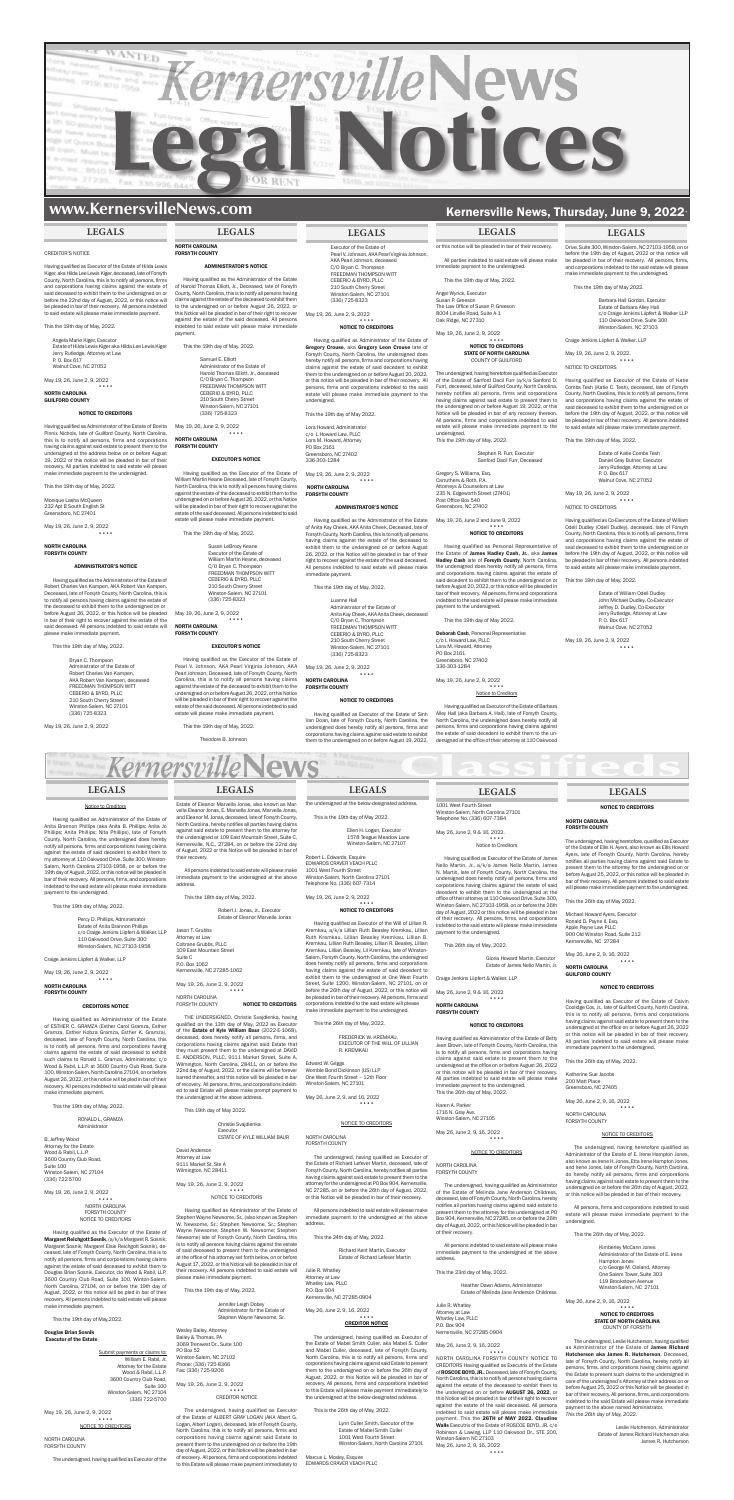

# **www.KernersvilleNews.com** Kernersville News, Thursday, June 9, 2022

### CREDITOR'S NOTICE

Angela Marie Kiger, Executor Estate of Hilda Lewis Kiger aka Hilda Lee Lewis Kiger Jerry Rutledge, Attorney at Law P. O. Box 617 Inut Cove, NC 27052

Having qualified as Executor of the Estate of Hilda Lewis Kiger, aka Hilda Lee Lewis Kiger, deceased, late of Forsyth County, North Carolina, this is to notify all persons, firms and corporations having claims against the estate of said deceased to exhibit them to the undersigned on or before the 22nd day of August, 2022, or this notice will be pleaded in bar of their recovery. All persons indebted to said estate will please make immediate payment.

This the 19th day of May, 2022.

nique Lasha McQueen 232 Apt B South English St Greensboro, NC 27401

May 19, 26, June 2, 9, 2022 ••••

Having qualified as the Administrator of the Estate of Robert Charles Van Kampen, AKA Robert Van Kampen, Deceased, late of Forsyth County, North Carolina, this is to notify all persons having claims against the estate of the deceased to exhibit them to the undersigned on or before August 26, 2022, or this Notice will be pleaded in bar of their right to recover against the estate of the said deceased. All persons indebted to said estate will make immediate payment.

May 19, 26, June 2, 9, 2022

•••• NORTH CAROLINA

GUILFORD COUNTY

### NOTICE TO CREDITORS

Having qualified as Administrator of the Estate of Bonita Pinnix Nichols, late of Guilford County, North Carolina, this is to notify all persons, firms and corporations having claims against said estate to present them to the undersigned at the address below on or before August 19, 2022 or this notice will be pleaded in bar of their recovery. All parties indebted to said estate will please make immediate payment to the undersigned.

This the 19th day of May, 2022.

### NORTH CAROLINA FORSYTH COUNTY

### ADMINISTRATOR'S NOTICE

### •••• NORTH CAROLINA FORSYTH COUNTY

This the 19th day of May, 2022.

Bryan C. Thompson Administrator of the Estate of Robert Charles Van Kampen, AKA Robert Van Kampen, deceased FREEDMAN THOMPSON WITT CEBERIO & BYRD, PLLC 210 South Cherry Street Winston-Salem, NC 27101 (336) 725-8323

May 19, 26, June 2, 9, 2022

### **LEGALS**

## NORTH CAROLINA FORSYTH COUNTY

### ADMINISTRATOR'S NOTICE

Having qualified as Administrator of the Estate of Gregory Crouse, aka Gregory Leon Crouse late of Forsyth County, North Carolina, the undersigned does hereby notify all persons, firms and corporations having claims against the estate of said decedent to exhibit them to the undersigned on or before August 20, 2022, or this notice will be pleaded in bar of their recovery. All persons, firms and corporations indebted to the said estate will please make immediate payment to the estate will please make immediate payment

Having qualified as the Administrator of the Estate of Harold Thomas Elliott, Jr., Deceased, late of Forsyth County, North Carolina, this is to notify all persons having claims against the estate of the deceased to exhibit them to the undersigned on or before August 26, 2022, or this Notice will be pleaded in bar of their right to recover against the estate of the said deceased. All persons indebted to said estate will please make immediate payment.

This the 19th day of May, 2022.

Samuel E. Elliott Administrator of the Estate of Harold Thomas Elliott, Jr., deceased C/O Bryan C. Thompson FREEDMAN THOMPSON WITT CEBERIO & BYRD, PLLC 210 South Cherry Street Winston-Salem, NC 27101 (336) 725-8323

May 19, 26, June 2, 9, 2022 ••••

### NORTH CAROLINA FORSYTH COUNTY

### EXECUTOR'S NOTICE

Having qualified as the Executor of the Estate of William Martin Keane Deceased, late of Forsyth County, North Carolina, this is to notify all persons having claims against the estate of the deceased to exhibit them to the undersigned on or before August 26, 2022, or this Notice will be pleaded in bar of their right to recover against the estate of the said deceased. All persons indebted to said estate will please make immediate payment. Angel Wyrick, Executor susan P. Greeson

This the 19th day of May, 2022.

Susan LeBrooy Keane Executor of the Estate of William Martin Keane, deceased C/O Bryan C. Thompson FREEDMAN THOMPSON WITT CEBERIO & BYRD, PLLC 210 South Cherry Street Winston-Salem, NC 27101 (336) 725-8323

May 19, 26, June 2, 9, 2022

EXECUTOR'S NOTICE

## Having qualified as the Executor of the Estate of

Pearl V. Johnson, AKA Pearl Virginia Johnson, AKA Pearl Johnson, Deceased, late of Forsyth County, North Carolina, this is to notify all persons having claims against the estate of the deceased to exhibit them to the undersigned on or before August 26, 2022, or this Notice will be pleaded in bar of their right to recover against the estate of the said deceased. All persons indebted to said estate will please make immediate payment.

### This the 19th day of May, 2022.

Theodore B. Johnson

## **LEGALS LEGALS LEGALS LEGALS**

Executor of the Estate of Pearl V. Johnson, AKA Pearl Virginia Johnson, AKA Pearl Johnson, deceased C/O Bryan C. Thompson CEBERIO & BYRD, PLLC 210 South Cherry Street Winston-Salem, NC 27101 (336) 725-8323

# FREEDMAN THOMPSON WITT May 19, 26, June 2, 9, 2022

## •••• NOTICE TO CREDITORS

undersigned.

This the 19th day of May 2022.

Lora Howard, Administrator

c/o L Howard Law, PLLC Lora M. Howard, Attorney PO Box 2161 Greensboro, NC 27402 336-303-1284

May 19, 26, June 2, 9, 2022

••••

 NORTH CAROLINA FORSYTH COUNTY

## ADMINISTRATOR'S NOTICE

Having qualified as the Administrator of the Estate

of Anita Kay Cheek, AKA Anita Cheek, Deceased, late of Forsyth County, North Carolina, this is to notify all persons having claims against the estate of the deceased to exhibit them to the undersigned on or before August 26, 2022, or this Notice will be pleaded in bar of their right to recover against the estate of the said deceased. All persons indebted to said estate will please make immediate payment.

This the 19th day of May, 2022.

Luanne Hall

Administrator of the Estate of Anita Kay Cheek, AKA Anita Cheek, deceased C/O Bryan C. Thompson FREEDMAN THOMPSON WITT CEBERIO & BYRD, PLLC 210 South Cherry Street Winston-Salem, NC 27101 (336) 725-8323

RONALD L, GRAMZA **Administrator** 

May 19, 26, June 2, 9, 2022

### NORTH CAROLINA FORSYTH COUNTY

### NOTICE TO CREDITORS

Having qualified as Executor of the Estate of Sinh Van Doan, late of Forsyth County, North Carolina, the undersigned does hereby notify all persons, firms and corporations having claims against said estate to exhibit them to the undersigned on or before August 19, 2022,

or this notice will be pleaded in bar of their recovery. All parties indebted to said estate will please make ate payment to the undersigned This the 19th day of May, 2022.

Submit payments or claims to: William E. Rabil, Jr. Attorney for the Estate Wood & Rabil, L.L.P. 3600 Country Club Road, Suite 100 Winston-Salem, NC 27104 (336) 722-5700

The Law Office of Susan P. Greeson 8004 Linville Road, Suite A-1 Oak Ridge, NC 27310 May 19, 26, June 2, 9, 2022

Estate of Eleanor Marvella Jonas, also known as Marvella Eleanor Jonas, E. Marvella Jonas, Marvella Jonas, and Eleanor M. Jonas, deceased, late of Forsyth County, North Carolina, hereby notifies all parties having claims against said estate to present them to the attorney for

•••• NOTICE TO CREDITORS STATE OF NORTH CAROLINA COUNTY OF GUILFORD The undersigned, having heretofore qualified as Executor of the Estate of Sanford Dacil Furr (a/k/a Sanford D. Furr), deceased, late of Guilford County, North Carolina, hereby notifies all persons, firms and corporations having claims against said estate to present them to the undersigned on or before August 19, 2022, or this Notice will be pleaded in bar of any recovery thereon. All persons, firms and corporations indebted to said estate will please make immediate payment to the

### •••• Lora M. Howard, Attorney PO Box 2161 Greensboro, NC 27402 336-303-1284 May 19, 26, June 2, 9, 2022

undersigned.

*This the 19th day of May, 2022.*

Stephen R. Furr, Executor Sanford Dacil Furr, Deceased

Gregory S. Williams, Esq. Carruthers & Roth, P.A. Attorneys & Counselors at Law 235 N. Edgeworth Street (27401) Post Office Box 540 Greensboro, NC 27402

Executor<br>ESTATE OF KYLE WILLIAM BAUR David Anderson

May 19, 26, June 2 and June 9, 2022

Having qualified as Administrator of the Estate of Stephen Wayne Newsome, Sr., (also known as Stephen W. Newsome, Sr.; Stephen Newsome, Sr.; Stephen Wayne Newsome; Stephen W. Newsome; Stephen Newsome) late of Forsyth County, North Carolina, this is to notify all persons having claims against the estate of said deceased to present them to the undersigned at the office of his attorney set forth below, on or before August 17, 2022, or this Notice will be pleaded in bar of their recovery. All persons indebted to said estate will e make immediate payment.

•••• NOTICE TO CREDITORS Having qualified as Personal Representative of the Estate of James Hadley Cash, Jr., aka James Hadley Cash late of Forsyth County, North Carolina, the undersigned does hereby notify all persons, firms and corporations having claims against the estate of said decedent to exhibit them to the undersigned on or before August 20, 2022, or this notice will be pleaded in bar of their recovery. All persons, firms and corporations indebted to the said estate will please make immediate

payment to the undersigned. This the 19th day of May 2022. Deborah Cash, Personal Representative c/o L Howard Law, PLLC

> •••• Notice to Creditors

Having qualified as Executor of the Estate of Barbara Alley Hall (aka Barbara A. Hall), late of Forsyth County, North Carolina, the undersigned does hereby notify all persons, firms and corporations having claims against the estate of said decedent to exhibit them to the undersigned at the office of their attorney at 110 Oakwood

Drive, Suite 300, Winston-Salem, NC 27103-1958, on or before the 19th day of August, 2022 or this notice will be pleaded in bar of their recovery. All persons, firms, and corporations indebted to the said estate will please make immediate payment to the undersigned.

This the 19th day of May 2022.

Barbara Hall Gordon, Executor Estate of Barbara Alley Hall c/o Craige Jenkins Liipfert & Walker LLP 110 Oakwood Drive, Suite 300 Winston-Salem, NC 27103

Craige Jenkins Liipfert & Walker, LLP

May 19, 26, June 2, 9, 2022. ••••

NOTICE TO CREDITORS

Having qualified as Executor of the Estate of Katie Combs Tesh (Katie C. Tesh), deceased, late of Forsyth County, North Carolina, this is to notify all persons, firms and corporations having claims against the estate of said deceased to exhibit them to the undersigned on or before the 19th day of August, 2022, or this notice will be pleaded in bar of their recovery. All persons indebted to said estate will please make immediate payment.

This the 19th day of May, 2022.

Marcus L. Moxley, Esquire EDWARDS CRAVER VEACH PLLC Estate of Katie Combs Tesh Daniel Gray Butner, Executor Jerry Rutledge, Attorney at Law P. O. Box 617 Walnut Cove, NC 27052

May 19, 26, June 2, 9, 2022

••••

NOTICE TO CREDITORS

Having qualified as Co-Executors of the Estate of William Odell Dudley (Odell Dudley), deceased, late of Forsyth County, North Carolina, this is to notify all persons, firms and corporations having claims against the estate of said deceased to exhibit them to the undersigned on or before the 19th day of August, 2022, or this notice will be pleaded in bar of their recovery. All persons indebted to said estate will please make immediate payment.

**IORTH CAROLINA** FORSYTH COUNTY

This the 19th day of May, 2022.

Estate of William Odell Dudley John Michael Dudley, Co-Executor Jeffrey D. Dudley, Co-Executor Jerry Rutledge, Attorney at Law P. O. Box 617 Walnut Cove, NC 27052

NORTH CAROLINA **FORSYTH COUNTY**  May 19, 26, June 2, 9, 2022 ••••

### Notice to Creditors

Having qualified as Administrator of the Estate of Anita Brannon Phillips (aka Anita B. Phillips; Anita Jo Phillips; Anita Phillips; Nita Phillips), late of Forsyth

County, North Carolina, the undersigned does hereby notify all persons, firms and corporations having claims against the estate of said decedent to exhibit them to my attorney at 110 Oakwood Drive, Suite 300, Winston-Salem, North Carolina 27103-1958, on or before the 19th day of August, 2022, or this notice will be pleaded in bar of their recovery. All persons, firms, and corporations indebted to the said estate will please make immediate payment to the undersigned.

This the 19th day of May, 2022.

The undersigned, having heretofore, qualified as Executor of the Estate of Ellis H. Ayers, also known as Ellis Howard Ayers, late of Forsyth County, North Carolina, hereby notifies all parties having claims against said Estate to present them to the attorney for the undersigned on or before August 25, 2022, or this notice will be pleaded in bar of their recovery. All persons indebted to said estate will please make immediate payment to the undersigned.

Percy D. Phillips, Administrator Estate of Anita Brannon Phillips c/o Craige Jenkins Liipfert & Walker, LLP 110 Oakwood Drive, Suite 300 Winston-Salem, NC 27103-1958

Craige Jenkins Liipfert & Walker, LLP

May 19, 26, June 2, 9, 2022

••••

NORTH CAROLINA FORSYTH COUNTY

### CREDITORS NOTICE

Having qualified as Administrator of the Estate of ESTHER C. GRAMZA (Esther Carol Gramza, Esther Gramza, Esther Kobza Gramza, Esther K. Gramza), deceased, late of Forsyth County, North Carolina, this is to notify all persons, firms and corporations having claims against the estate of said deceased to exhibit such claims to Ronald L. Gramza, Administrator, c/o Wood & Rabil, L.L.P. at 3600 Country Club Road, Suite 100, Winston-Salem, North Carolina 27104, on or before August 26, 2022, or this notice will be pled in bar of their recovery. All persons indebted to said estate will please make immediate payment.

This the 19th day of May, 2022.

B, Jeffrey Wood Attorney for the Estate Wood & Rabil, L.L.P. 3600 Country Club Road, Suite 100 Winston-Salem, NC 27104 (336) 722-5700

### May 19, 26, June 2, 9, 2022

•••• NORTH CAROLINA FORSYTH COUNTY NOTICE TO CREDITORS

Having qualified as the Executor of the Estate of Margaret Reichgott Sosnik, (a/k/a Margaret R. Sosnik; Margaret Sosnik; Margaret Elsie Reichgott Sosnik), deceased, late of Forsyth County, North Carolina, this is to notify all persons, firms and corporations having claims against the estate of said deceased to exhibit them to Douglas Brian Sosnik, Executor, clo Wood & Rabil, LLP, 3600 Country Club Road, Suite 100, Winton-Salem, North Carolina, 27104, on or before the 19th day of August, 2022, or this notice will be pled in bar of their recovery. All persons indebted to said estate will please make immediate payment.

This the 19th day of May,2022.

Douglas Brian Sosnik Executor of the Estate

May 19, 26, June 2, 9, 2022 •••• NOTICE TO CREDITORS

NORTH CAROLINA FORSYTH COUNTY

The undersigned, having qualified as Executor of the

the undersigned at 109 East Mountain Street, Suite C, Kernersville, N.C., 27284, on or before the 22nd day of August, 2022 or this Notice will be pleaded in bar of their recovery.

All persons indebted to said estate will please make immediate payment to the undersigned at the above address.

This the 18th day of May, 2022.

Robert J. Jonas, Jr., Executor Estate of Eleanor Marvella Jonas Jason T. Grubbs Attorney at Law Coltrane Grubbs, PLLC

109 East Mountain Street Suite C P.O. Box 1062 Kernersville, NC 27285-1062 May 19, 26, June 2, 9, 2022

••••

NORTH CAROLINA<br>FORSYTH COUNTY **NOTICE TO CREDITORS** 

THE UNDERSIGNED, Christie Svajdlenka, having qualified on the 13th day of May, 2022 as Executor<br>of the **Estate of Kyle William Baur** (2022-E-1068), deceased, does hereby notify all persons, firms, and corporations having claims against said Estate that they must present them to the undersigned at DAVID E. ANDERSON, PLLC, 9111 Market Street, Suite A, Wilmington, North Carolina, 28411, on or before the 22nd day of August, 2022, or the claims will be forever barred thereafter, and this notice will be pleaded in bar of recovery. All persons, firms, and corporations indebted to said Estate will please make prompt payment to the undersigned at the above address.

This 19th day of May 2022.

Christie Svajdlenka

Attorney at Law 9111 Market St, Ste A Wilmington, NC 28411 May 19, 26, June 2, 9, 2022

•••• NOTICE TO CREDITORS

This the 19th day of May, 2022.

Jennifer Leigh Dobey Administrator for the Estate of Stephen Wayne Newsome, Sr.

 Wesley Bailey, Attorney Bailey & Thomas, PA 3069 Trenwest Dr., Suite 100 PO Box 52 Winston-Salem, NC 27102 Phone: (336) 725-8366 Fax: (336) 725-9206

May 19, 26, June 2, 9, 2022 •••• CREDITOR NOTICE

The undersigned, having qualified as Executor of the Estate of ALBERT GRAY LOGAN (AKA Albert G. Logan, Albert Logan), deceased, late of Forsyth County, North Carolina, this is to notify all persons, firms and corporations having claims against said Estate to present them to the undersigned on or before the 19th day of August, 2022, or this Notice will be pleaded in bar of recovery. All persons, firms and corporations indebted to this Estate will please make payment immediately to

# **LEGALS LEGALS LEGALS**

the undersigned at the below-designated address.

# This is the 19th day of May 2022.

Ellen H. Logan, Executor

1578 Teague Meadow Lane Winston-Salem, NC 27107

Robert L. Edwards, Esquire EDWARDS CRAVER VEACH PLLC 1001 West Fourth Street Winston-Salem, North Carolina 27101 Telephone No. (336) 607-7314

# May 19, 26, June 2, 9, 2022

## •••• NOTICE TO CREDITORS

Having qualified as Executor of the Will of Lillian R. Kremkau, a/k/a Lillian Ruth Beasley Kremkau, Lillian Ruth Kremkau, Lillian Beasley Kremkau, Lillian B. Kremkau, Lillian Ruth Beasley, Lillian R. Beasley, Lillian Kremkau, Lillian Beasley, Lil Kremkau, late of Winston-Salem, Forsyth County, North Carolina, the undersigned does hereby notify all persons, firms and corporations having claims against the estate of said decedent to exhibit them to the undersigned at One West Fourth Street, Suite 1200, Winston-Salem, NC 27101, on or before the 26th day of August, 2022, or this notice will be pleaded in bar of their recovery. All persons, firms and corporations indebted to the said estate will please make immediate payment to the undersigned.

This the 26th day of May, 2022.

FREDERICK W. KREMKAU, EXECUTOR OF THE WILL OF LILLIAN R. KREMKAU

Edward W. Griggs Womble Bond Dickinson (US) LLP One West Fourth Street – 12th Floor Winston-Salem, NC 27101

May 26, June 2, 9, and 16, 2022 ••••

### NOTICE TO CREDITORS

NORTH CAROLINA FORSYTH COUNTY

The undersigned, having qualified as Executor of the Estate of Richard Lefever Martin, deceased, late of Forsyth County, North Carolina, hereby notifies all parties having claims against said estate to present them to the attorney for the undersigned at PO Box 904, Kernersville, NC 27285, on or before the 26th day of August, 2022, or this Notice will be pleaded in bar of their recovery.

All persons indebted to said estate will please make immediate payment to the undersigned at the above address.

This the 24th day of May, 2022.

Richard Kent Martin, Executor Estate of Richard Lefever Martin

Julie R. Whatley Attorney at Law Whatley Law, PLLC P.O. Box 904 Kernersville, NC 27285-0904

May 26, June 2, 9, 16, 2022 •••• CREDITOR NOTICE

The undersigned, having qualified as Executor of the Estate of Mabel Smith Culler, aka Mabel S. Culler and Mabel Culler, deceased, late of Forsyth County, North Carolina, this is to notify all persons, firms and corporations having claims against said Estate to present them to the undersigned on or before the 26th day of August, 2022, or this Notice will be pleaded in bar of recovery. All persons, firms and corporations indebted to this Estate will please make payment immediately to the undersigned at the below-designated address.

This is the 26th day of May, 2022.

Lynn Culler Smith, Executor of the Estate of Mabel Smith Culler 1001 West Fourth Street Winston-Salem, North Carolina 27101

### **LEGALS**

1001 West Fourth Street Winston-Salem, North Carolina 27101 Telephone No. (336) 607-7384

May 26, June 2, 9 & 16, 2022. •••• Notice to Creditors

Having qualified as Executor of the Estate of James Nello Martin, Jr., a/k/a James Nello Martin, James N. Martin, late of Forsyth County, North Carolina, the undersigned does hereby notify all persons, firms and corporations having claims against the estate of said decedent to exhibit them to the undersigned at the office of their attorney at 110 Oakwood Drive, Suite 300, Winston-Salem, NC 27103-1958, on or before the 26th day of August, 2022 or this notice will be pleaded in bar of their recovery. All persons, firms, and corporations indebted to the said estate will please make immediate payment to the undersigned.

This 26th day of May, 2022.

Gloria Howard Martin, Executor Estate of James Nello Martin, Jr.

Craige Jenkins Liipfert & Walker, LLP

May 26, June 2, 9 & 16, 2022

••••

### NOTICE TO CREDITORS

Having qualified as Administrator of the Estate of Betty Jean Brown, late of Forsyth County, North Carolina, this is to notify all persons, firms and corporations having claims against said estate to present them to the undersigned at the office on or before August 26, 2022 or this notice will be pleaded in bar of their recovery. All parties indebted to said estate will please make immediate payment to the undersigned. This the 26th day of May, 2022.

Karen A. Parker 1716 N. Gray Ave. Winston-Salem, NC 27105

May 26, June 2, 9, 16, 2022

### •••• NOTICE TO CREDITORS

The undersigned, having qualified as Administrator of the Estate of Melinda Jane Anderson Childress, deceased, late of Forsyth County, North Carolina, hereby notifies all parties having claims against said estate to present them to the attorney for the undersigned at PO Box 904, Kernersville, NC 27285, on or before the 26th day of August, 2022, or this Notice will be pleaded in bar of their recovery.

All persons indebted to said estate will please make immediate payment to the undersigned at the above address.

This the 23rd day of May, 2022.

Heather Dawn Adams, Administrator Estate of Melinda Jane Anderson Childress

Julie R. Whatley Attorney at Law Whatley Law, PLLC P.O. Box 904 Kernersville, NC 27285-0904

May 26, June 2, 9, 16, 2022 ••••

NORTH CAROLINA FORSYTH COUNTY NOTICE TO CREDITORS Having qualified as Executrix of the Estate of ROSCOE BOYD, JR., Deceased, late of Forsyth County, North Carolina, this is to notify all persons having claims against the estate of the deceased to exhibit them to the undersigned on or before AUGUST 26, 2022, or this Notice will be pleaded in bar of their right to recover against the estate of the said deceased. All persons indebted to said estate will please make immediate payment. This the 26TH of MAY 2022. Claudine Walls Executrix of the Estate of ROSCOE BOYD, JR. c/o Robinson & Lawing, LLP 110 Oakwood Dr., STE 200, Winston-Salem NC 27103 May 26, June 2, 9, 16, 2022

••••

NOTICE TO CREDITORS

NORTH CAROLINA FORSYTH COUNTY

This the 26th day of May 2022.

Michael Howard Ayers, Executor Ronald D. Payne II, Esq. Apple Payne Law PLLC 900 Old Winston Road, Suite 212 Kernersville, NC 27284

May 26, June 2, 9, 16, 2022

•••• NORTH CAROLINA GUILFORD COUNTY

NOTICE TO CREDITORS

Having qualified as Executor of the Estate of Calvin Coolidge Cox, Jr., late of Guilford County, North Carolina, this is to notify all persons, firms and corporations having claims against said estate to present them to the undersigned at the office on or before August 26, 2022 or this notice will be pleaded in bar of their recovery. All parties indebted to said estate will please make immediate payment to the undersigned.

This the 26th day of May, 2022.

Katherine Sue Jacobs 200 Matt Place Greensboro, NC 27405

May 26, June 2, 9, 16, 2022

•••• NORTH CAROLINA FORSYTH COUNTY

NOTICE TO CREDITORS

The undersigned, having heretofore qualified as Administrator of the Estate of E. Irene Hampton Jones, also known as Irene H. Jones, Etta Irene Hampton Jones, and Irene Jones, late of Forsyth County, North Carolina, do hereby notify all persons, firms and corporations having claims against said estate to present them to the undersigned on or before the 26th day of August, 2022, or this notice will be pleaded in bar of their recovery.

All persons, firms and corporations indebted to said estate will please make immediate payment to the undersigned.

This the 26th day of May, 2022.

Kimberley McCann Jones Administrator of the Estate of E. Irene Hampton Jones c/o George M. Cleland, Attorney One Salem Tower, Suite 303 119 Brookstown Avenue Winston-Salem, NC 27101

May 26, June 2, 9, 16, 2022

•••• NOTICE TO CREDITORS STATE OF NORTH CAROLINA COUNTY OF FORSYTH

The undersigned, Leslie Hutcherson, having qualified as Administrator of the Estate of James Richard Hutcherson aka James R. Hutcherson, Deceased, late of Forsyth County, North Carolina, hereby notify all persons, firms, and corporations having claims against the Estate to present such claims to the undersigned in care of the undersigned's Attorney at their address on or before August 25, 2022 or this Notice will be pleaded in bar of their recovery. All persons, firms, and corporations indebted to the said Estate will please make immediate payment to the above named Administrator. *This the 26th day of May, 2022.*

> Leslie Hutcherson, Administrator Estate of James Richard Hutcherson aka James R. Hutcherson

## **LEGALS**